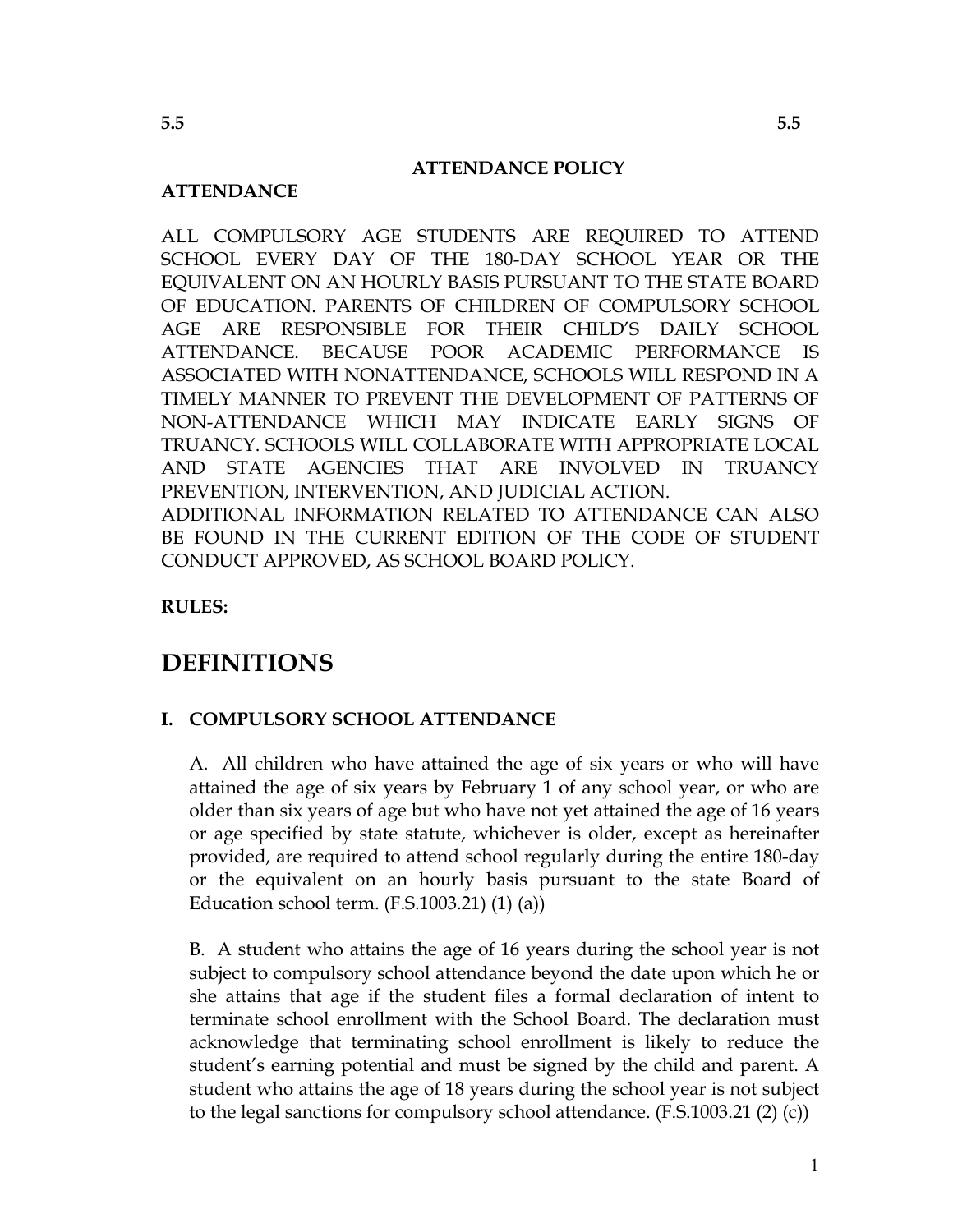#### **ATTENDANCE POLICY**

#### **ATTENDANCE**

ALL COMPULSORY AGE STUDENTS ARE REQUIRED TO ATTEND SCHOOL EVERY DAY OF THE 180-DAY SCHOOL YEAR OR THE EQUIVALENT ON AN HOURLY BASIS PURSUANT TO THE STATE BOARD OF EDUCATION. PARENTS OF CHILDREN OF COMPULSORY SCHOOL ARE RESPONSIBLE FOR THEIR CHILD'S DAILY SCHOOL  $AGE$ ATTENDANCE. **BECAUSE** POOR ACADEMIC PERFORMANCE IS ASSOCIATED WITH NONATTENDANCE, SCHOOLS WILL RESPOND IN A TIMELY MANNER TO PREVENT THE DEVELOPMENT OF PATTERNS OF NON-ATTENDANCE WHICH MAY INDICATE EARLY SIGNS OF TRUANCY. SCHOOLS WILL COLLABORATE WITH APPROPRIATE LOCAL AND STATE AGENCIES THAT ARE INVOLVED IN TRUANCY PREVENTION, INTERVENTION, AND JUDICIAL ACTION. ADDITIONAL INFORMATION RELATED TO ATTENDANCE CAN ALSO BE FOUND IN THE CURRENT EDITION OF THE CODE OF STUDENT CONDUCT APPROVED, AS SCHOOL BOARD POLICY.

**RULES:** 

## **DEFINITIONS**

#### I. COMPULSORY SCHOOL ATTENDANCE

A. All children who have attained the age of six years or who will have attained the age of six years by February 1 of any school year, or who are older than six years of age but who have not yet attained the age of 16 years or age specified by state statute, whichever is older, except as hereinafter provided, are required to attend school regularly during the entire 180-day or the equivalent on an hourly basis pursuant to the state Board of Education school term.  $(F.S.1003.21)$   $(1)$   $(a)$ )

B. A student who attains the age of 16 years during the school year is not subject to compulsory school attendance beyond the date upon which he or she attains that age if the student files a formal declaration of intent to terminate school enrollment with the School Board. The declaration must acknowledge that terminating school enrollment is likely to reduce the student's earning potential and must be signed by the child and parent. A student who attains the age of 18 years during the school year is not subject to the legal sanctions for compulsory school attendance.  $(F.S.1003.21 (2) (c))$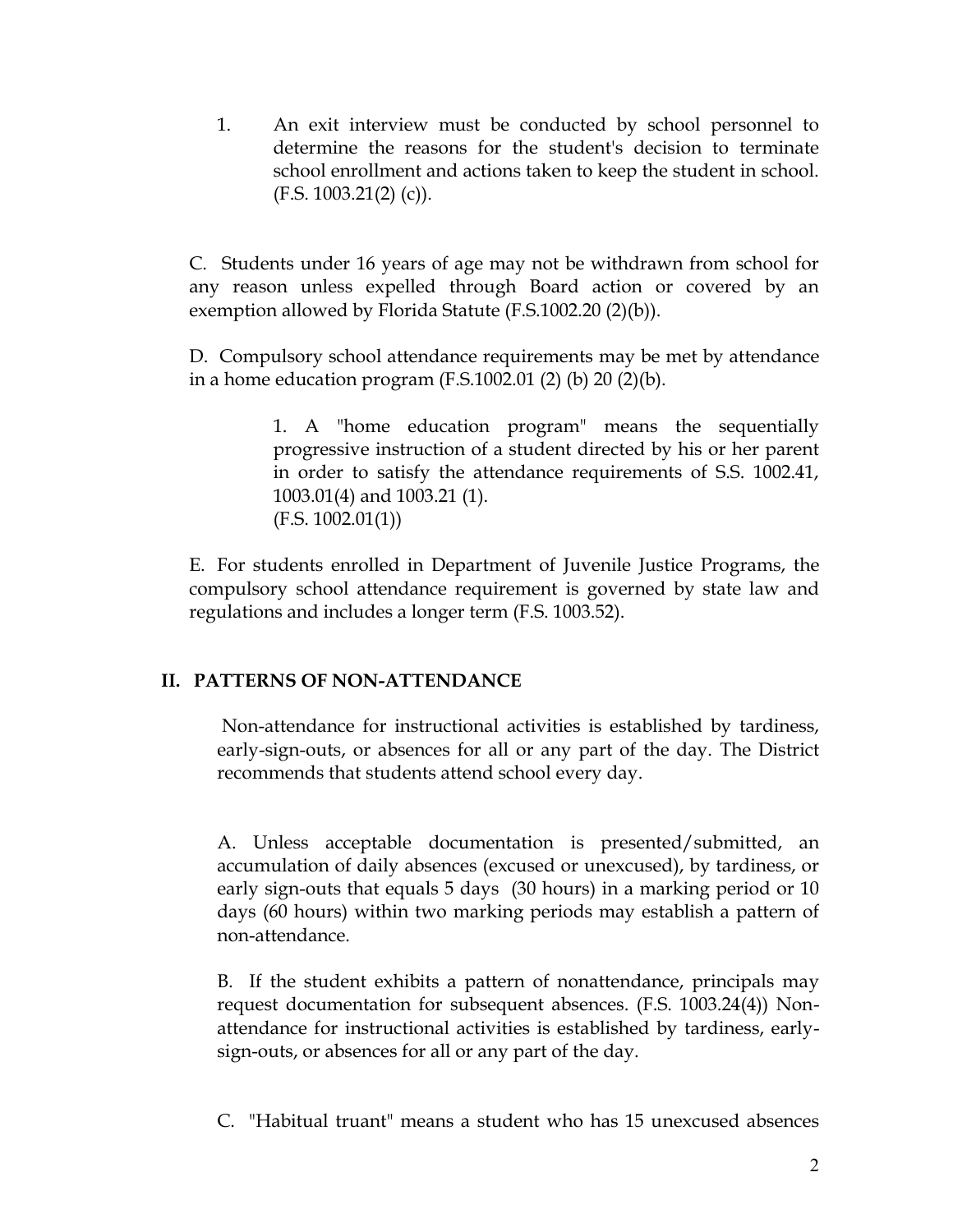$1.$ An exit interview must be conducted by school personnel to determine the reasons for the student's decision to terminate school enrollment and actions taken to keep the student in school.  $(F.S. 1003.21(2) (c)).$ 

C. Students under 16 years of age may not be withdrawn from school for any reason unless expelled through Board action or covered by an exemption allowed by Florida Statute (F.S.1002.20 (2)(b)).

D. Compulsory school attendance requirements may be met by attendance in a home education program  $(F.S.1002.01(2)(b) 20(2)(b)$ .

> 1. A "home education program" means the sequentially progressive instruction of a student directed by his or her parent in order to satisfy the attendance requirements of S.S. 1002.41, 1003.01(4) and 1003.21 (1).  $(F.S. 1002.01(1))$

E. For students enrolled in Department of Juvenile Justice Programs, the compulsory school attendance requirement is governed by state law and regulations and includes a longer term (F.S. 1003.52).

#### II. PATTERNS OF NON-ATTENDANCE

Non-attendance for instructional activities is established by tardiness, early-sign-outs, or absences for all or any part of the day. The District recommends that students attend school every day.

A. Unless acceptable documentation is presented/submitted, an accumulation of daily absences (excused or unexcused), by tardiness, or early sign-outs that equals 5 days (30 hours) in a marking period or 10 days (60 hours) within two marking periods may establish a pattern of non-attendance.

B. If the student exhibits a pattern of nonattendance, principals may request documentation for subsequent absences. (F.S. 1003.24(4)) Nonattendance for instructional activities is established by tardiness, earlysign-outs, or absences for all or any part of the day.

C. "Habitual truant" means a student who has 15 unexcused absences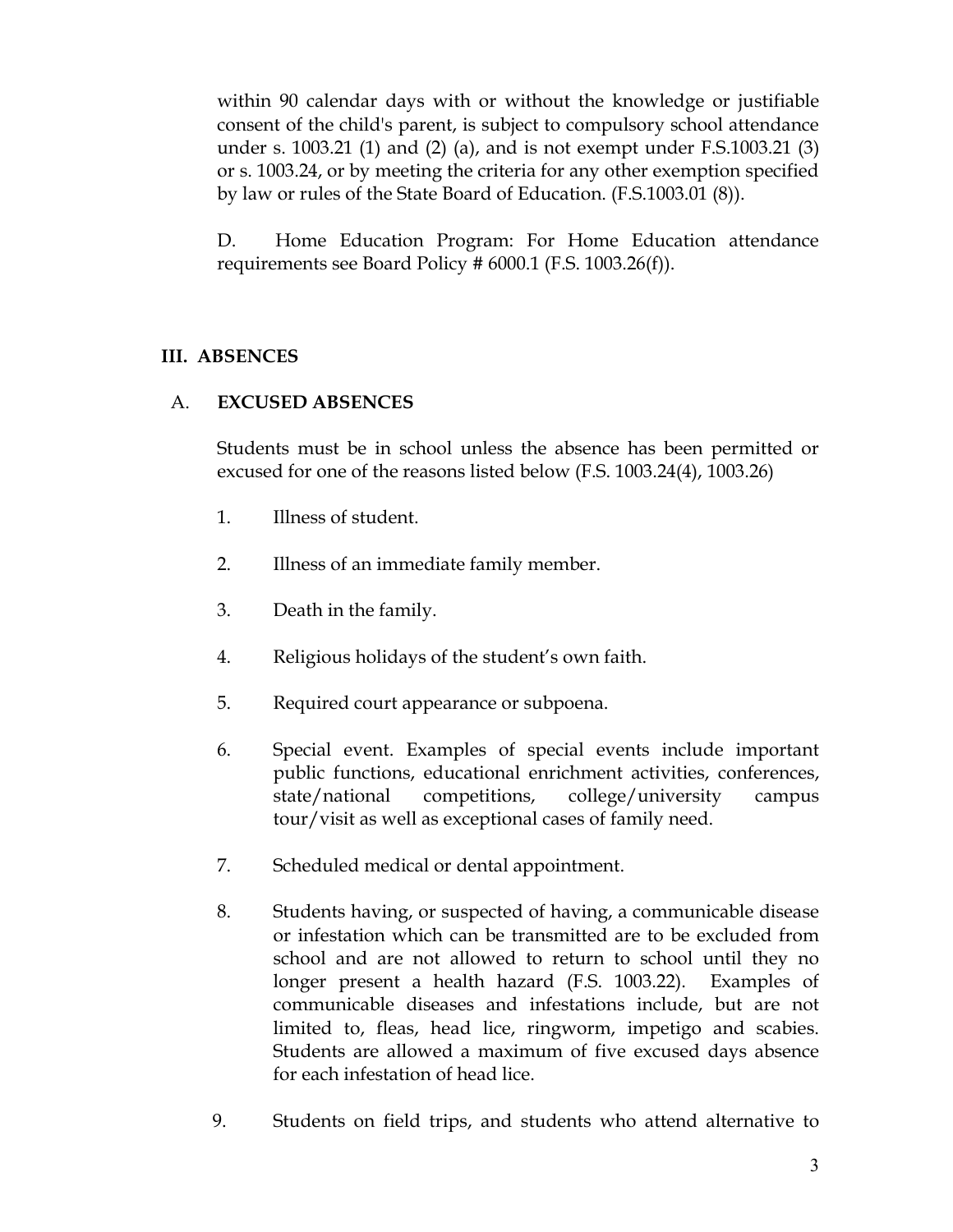within 90 calendar days with or without the knowledge or justifiable consent of the child's parent, is subject to compulsory school attendance under s. 1003.21 (1) and (2) (a), and is not exempt under  $F.S.1003.21$  (3) or s. 1003.24, or by meeting the criteria for any other exemption specified by law or rules of the State Board of Education. (F.S.1003.01 (8)).

Home Education Program: For Home Education attendance D. requirements see Board Policy #  $6000.1$  (F.S.  $1003.26(f)$ ).

### **III. ABSENCES**

#### $A<sub>1</sub>$ **EXCUSED ABSENCES**

Students must be in school unless the absence has been permitted or excused for one of the reasons listed below (F.S. 1003.24(4), 1003.26)

- $1_{-}$ Illness of student.
- $2.$ Illness of an immediate family member.
- 3. Death in the family.
- $\overline{4}$ . Religious holidays of the student's own faith.
- 5. Required court appearance or subpoena.
- Special event. Examples of special events include important 6. public functions, educational enrichment activities, conferences, state/national competitions, college/university campus tour/visit as well as exceptional cases of family need.
- 7. Scheduled medical or dental appointment.
- 8. Students having, or suspected of having, a communicable disease or infestation which can be transmitted are to be excluded from school and are not allowed to return to school until they no longer present a health hazard (F.S. 1003.22). Examples of communicable diseases and infestations include, but are not limited to, fleas, head lice, ringworm, impetigo and scabies. Students are allowed a maximum of five excused days absence for each infestation of head lice.
- 9. Students on field trips, and students who attend alternative to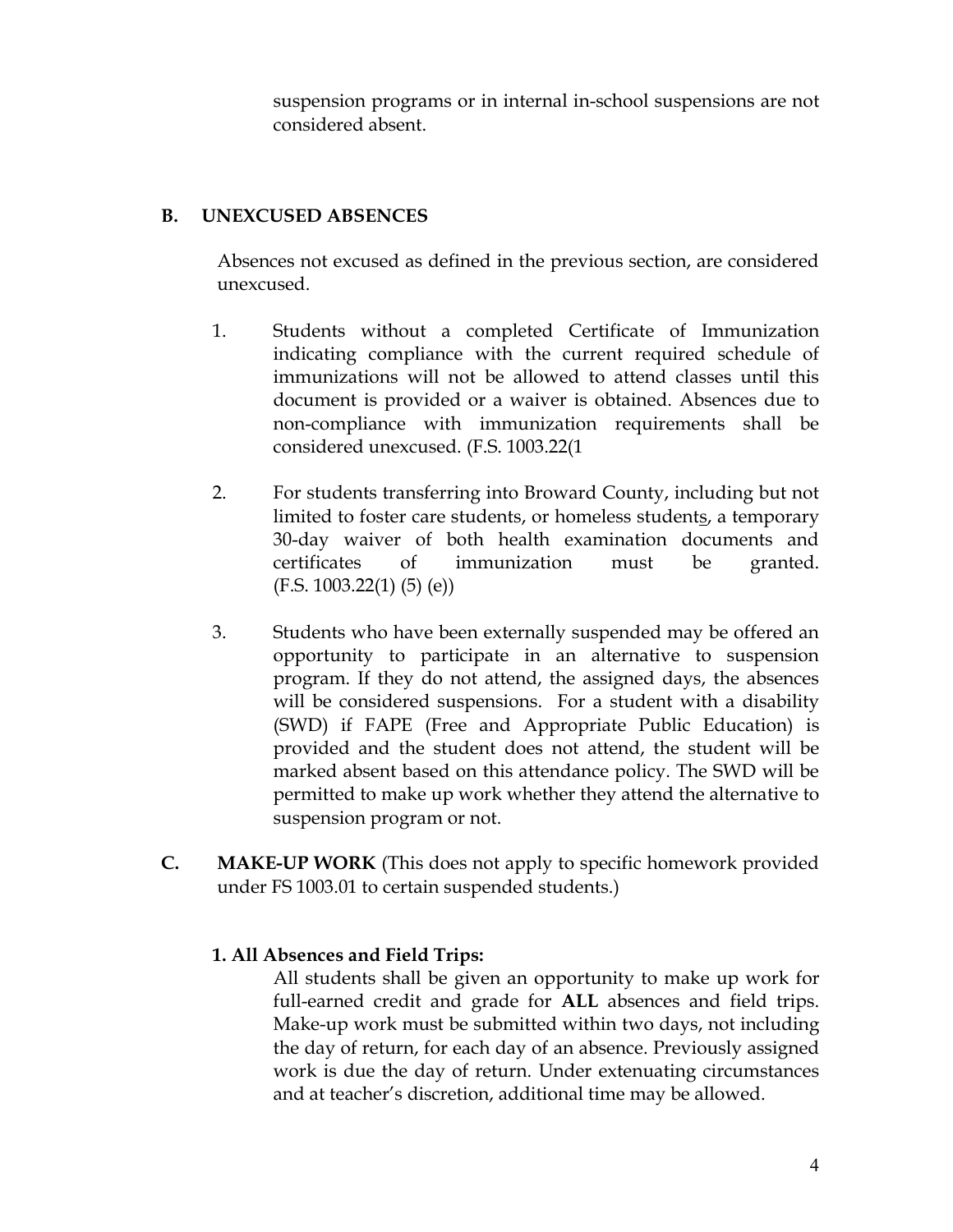suspension programs or in internal in-school suspensions are not considered absent.

#### **B. UNEXCUSED ABSENCES**

Absences not excused as defined in the previous section, are considered unexcused.

- 1. Students without a completed Certificate of Immunization indicating compliance with the current required schedule of immunizations will not be allowed to attend classes until this document is provided or a waiver is obtained. Absences due to non-compliance with immunization requirements shall be considered unexcused. (F.S. 1003.22(1
- $2.$ For students transferring into Broward County, including but not limited to foster care students, or homeless students, a temporary 30-day waiver of both health examination documents and certificates  $\alpha$ immunization must be granted.  $(F.S. 1003.22(1) (5) (e))$
- 3. Students who have been externally suspended may be offered an opportunity to participate in an alternative to suspension program. If they do not attend, the assigned days, the absences will be considered suspensions. For a student with a disability (SWD) if FAPE (Free and Appropriate Public Education) is provided and the student does not attend, the student will be marked absent based on this attendance policy. The SWD will be permitted to make up work whether they attend the alternative to suspension program or not.
- $C_{\cdot}$ MAKE-UP WORK (This does not apply to specific homework provided under FS 1003.01 to certain suspended students.)

#### 1. All Absences and Field Trips:

All students shall be given an opportunity to make up work for full-earned credit and grade for ALL absences and field trips. Make-up work must be submitted within two days, not including the day of return, for each day of an absence. Previously assigned work is due the day of return. Under extenuating circumstances and at teacher's discretion, additional time may be allowed.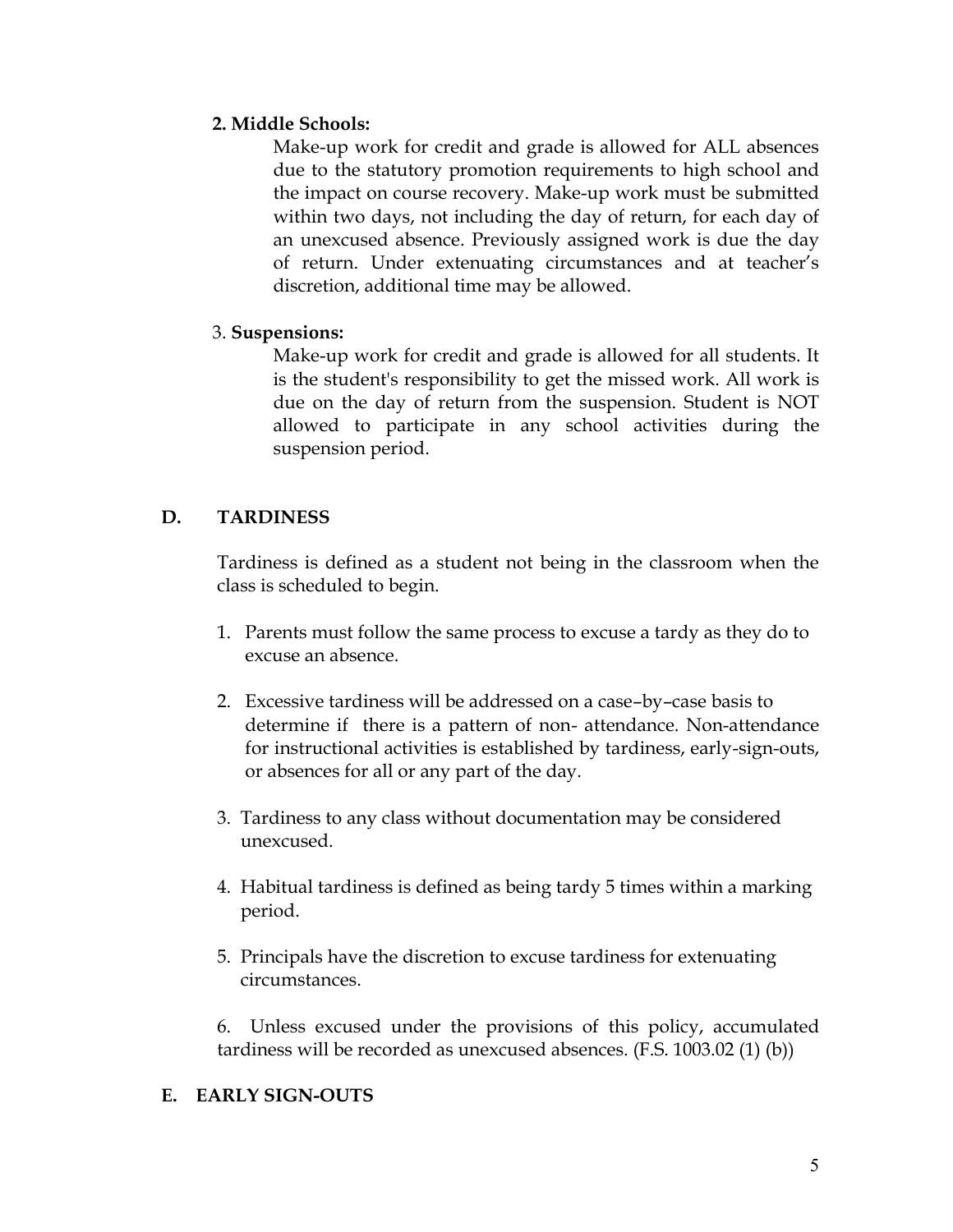### 2. Middle Schools:

Make-up work for credit and grade is allowed for ALL absences due to the statutory promotion requirements to high school and the impact on course recovery. Make-up work must be submitted within two days, not including the day of return, for each day of an unexcused absence. Previously assigned work is due the day of return. Under extenuating circumstances and at teacher's discretion, additional time may be allowed.

### 3. Suspensions:

Make-up work for credit and grade is allowed for all students. It is the student's responsibility to get the missed work. All work is due on the day of return from the suspension. Student is NOT allowed to participate in any school activities during the suspension period.

#### D. **TARDINESS**

Tardiness is defined as a student not being in the classroom when the class is scheduled to begin.

- 1. Parents must follow the same process to excuse a tardy as they do to excuse an absence.
- 2. Excessive tardiness will be addressed on a case-by-case basis to determine if there is a pattern of non-attendance. Non-attendance for instructional activities is established by tardiness, early-sign-outs, or absences for all or any part of the day.
- 3. Tardiness to any class without documentation may be considered unexcused.
- 4. Habitual tardiness is defined as being tardy 5 times within a marking period.
- 5. Principals have the discretion to excuse tardiness for extenuating circumstances.

6. Unless excused under the provisions of this policy, accumulated tardiness will be recorded as unexcused absences. (F.S. 1003.02 (1) (b))

### E. EARLY SIGN-OUTS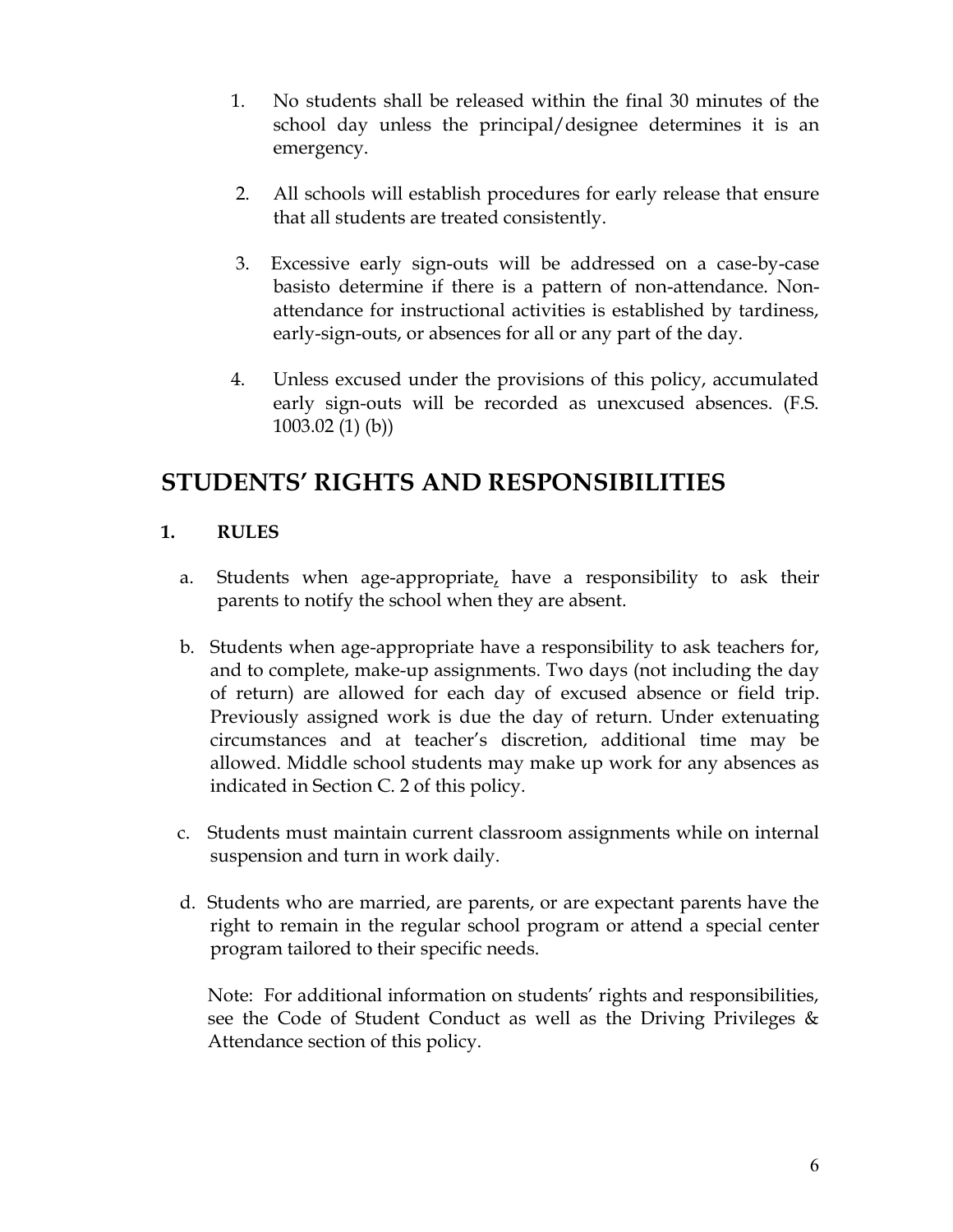- $1.$ No students shall be released within the final 30 minutes of the school day unless the principal/designee determines it is an emergency.
- $2.$ All schools will establish procedures for early release that ensure that all students are treated consistently.
- 3. Excessive early sign-outs will be addressed on a case-by-case basisto determine if there is a pattern of non-attendance. Nonattendance for instructional activities is established by tardiness, early-sign-outs, or absences for all or any part of the day.
- 4. Unless excused under the provisions of this policy, accumulated early sign-outs will be recorded as unexcused absences. (F.S.  $1003.02(1)(b)$

## **STUDENTS' RIGHTS AND RESPONSIBILITIES**

#### 1. **RULES**

- a. Students when age-appropriate, have a responsibility to ask their parents to notify the school when they are absent.
- b. Students when age-appropriate have a responsibility to ask teachers for, and to complete, make-up assignments. Two days (not including the day of return) are allowed for each day of excused absence or field trip. Previously assigned work is due the day of return. Under extenuating circumstances and at teacher's discretion, additional time may be allowed. Middle school students may make up work for any absences as indicated in Section C. 2 of this policy.
- c. Students must maintain current classroom assignments while on internal suspension and turn in work daily.
- d. Students who are married, are parents, or are expectant parents have the right to remain in the regular school program or attend a special center program tailored to their specific needs.

Note: For additional information on students' rights and responsibilities, see the Code of Student Conduct as well as the Driving Privileges & Attendance section of this policy.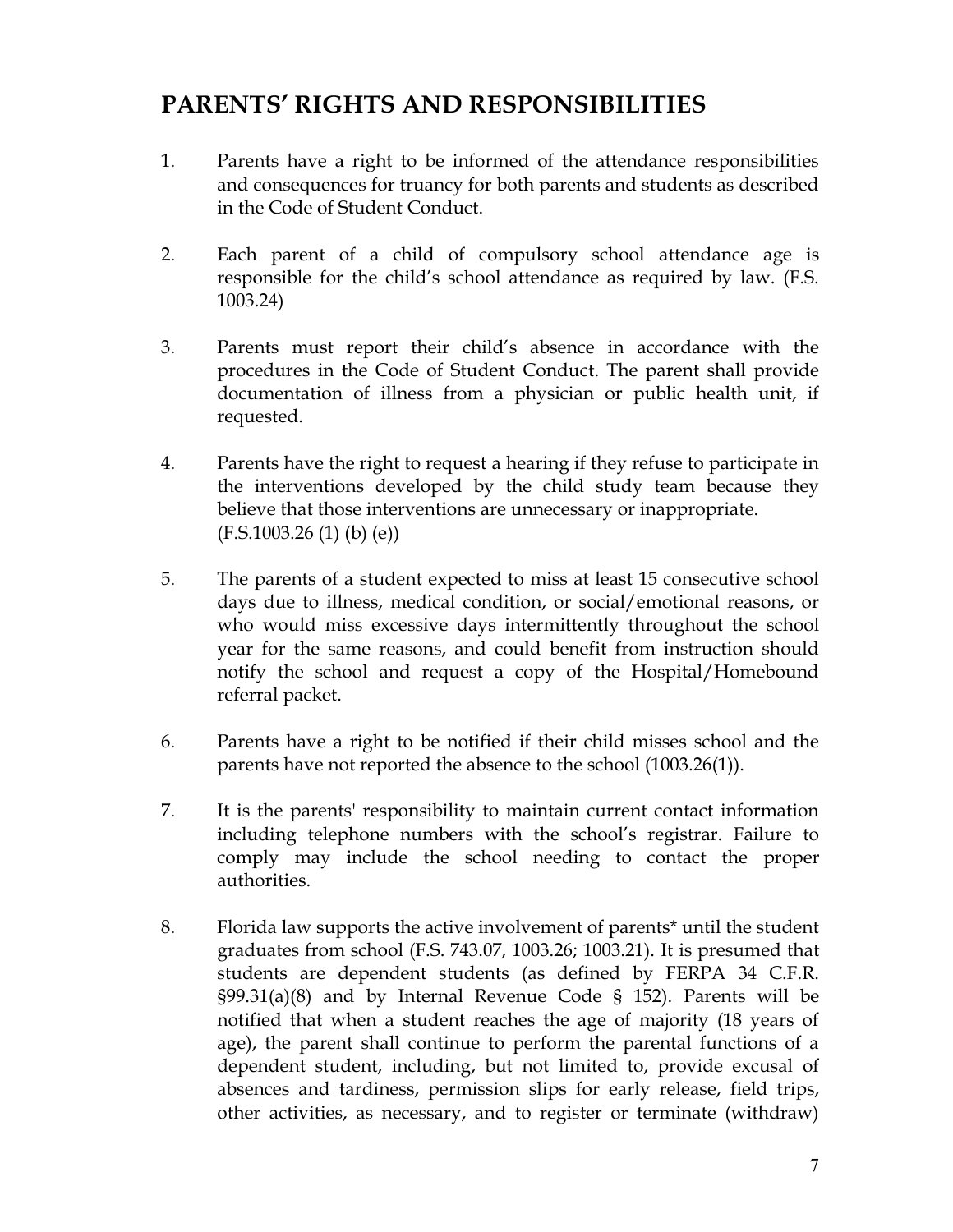# **PARENTS' RIGHTS AND RESPONSIBILITIES**

- 1. Parents have a right to be informed of the attendance responsibilities and consequences for truancy for both parents and students as described in the Code of Student Conduct.
- $2.$ Each parent of a child of compulsory school attendance age is responsible for the child's school attendance as required by law. (F.S.  $1003.24)$
- 3. Parents must report their child's absence in accordance with the procedures in the Code of Student Conduct. The parent shall provide documentation of illness from a physician or public health unit, if requested.
- $4.$ Parents have the right to request a hearing if they refuse to participate in the interventions developed by the child study team because they believe that those interventions are unnecessary or inappropriate.  $(F.S.1003.26(1) (b) (e))$
- 5. The parents of a student expected to miss at least 15 consecutive school days due to illness, medical condition, or social/emotional reasons, or who would miss excessive days intermittently throughout the school year for the same reasons, and could benefit from instruction should notify the school and request a copy of the Hospital/Homebound referral packet.
- 6. Parents have a right to be notified if their child misses school and the parents have not reported the absence to the school (1003.26(1)).
- 7. It is the parents' responsibility to maintain current contact information including telephone numbers with the school's registrar. Failure to comply may include the school needing to contact the proper authorities.
- 8. Florida law supports the active involvement of parents\* until the student graduates from school (F.S. 743.07, 1003.26; 1003.21). It is presumed that students are dependent students (as defined by FERPA 34 C.F.R.  $\S99.31(a)(8)$  and by Internal Revenue Code § 152). Parents will be notified that when a student reaches the age of majority (18 years of age), the parent shall continue to perform the parental functions of a dependent student, including, but not limited to, provide excusal of absences and tardiness, permission slips for early release, field trips, other activities, as necessary, and to register or terminate (withdraw)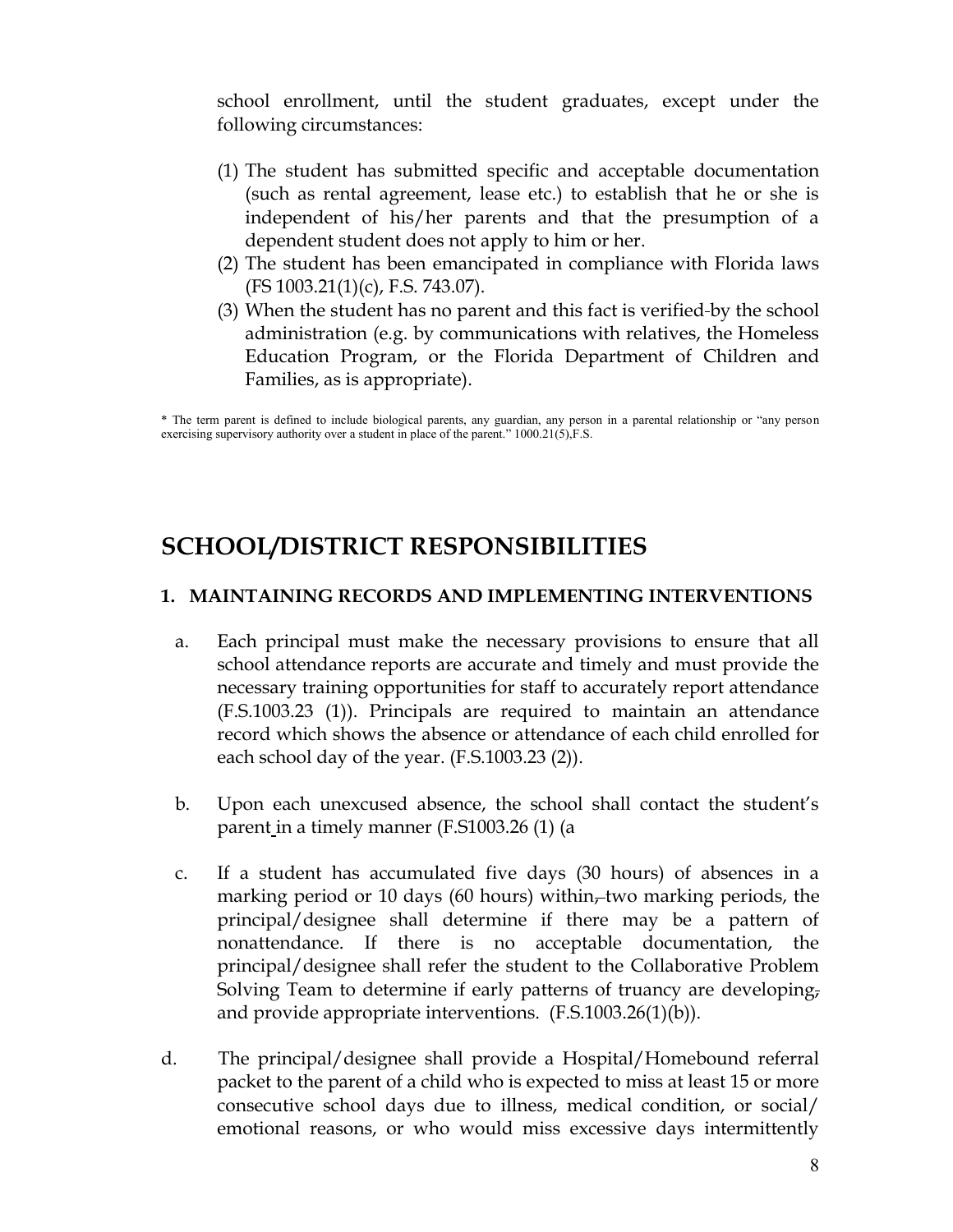school enrollment, until the student graduates, except under the following circumstances:

- (1) The student has submitted specific and acceptable documentation (such as rental agreement, lease etc.) to establish that he or she is independent of his/her parents and that the presumption of a dependent student does not apply to him or her.
- (2) The student has been emancipated in compliance with Florida laws  $(FS 1003.21(1)(c), F.S. 743.07).$
- (3) When the student has no parent and this fact is verified-by the school administration (e.g. by communications with relatives, the Homeless Education Program, or the Florida Department of Children and Families, as is appropriate).

\* The term parent is defined to include biological parents, any guardian, any person in a parental relationship or "any person exercising supervisory authority over a student in place of the parent." 1000.21(5),F.S.

## **SCHOOL/DISTRICT RESPONSIBILITIES**

### 1. MAINTAINING RECORDS AND IMPLEMENTING INTERVENTIONS

- Each principal must make the necessary provisions to ensure that all a. school attendance reports are accurate and timely and must provide the necessary training opportunities for staff to accurately report attendance (F.S.1003.23 (1)). Principals are required to maintain an attendance record which shows the absence or attendance of each child enrolled for each school day of the year. (F.S.1003.23 (2)).
- $b<sub>1</sub>$ Upon each unexcused absence, the school shall contact the student's parent in a timely manner (F.S1003.26 (1) (a
- If a student has accumulated five days (30 hours) of absences in a  $C.$ marking period or 10 days (60 hours) within, two marking periods, the principal/designee shall determine if there may be a pattern of nonattendance. If there is no acceptable documentation, the principal/designee shall refer the student to the Collaborative Problem Solving Team to determine if early patterns of truancy are developing, and provide appropriate interventions.  $(F.S.1003.26(1)(b))$ .
- d. The principal/designee shall provide a Hospital/Homebound referral packet to the parent of a child who is expected to miss at least 15 or more consecutive school days due to illness, medical condition, or social/ emotional reasons, or who would miss excessive days intermittently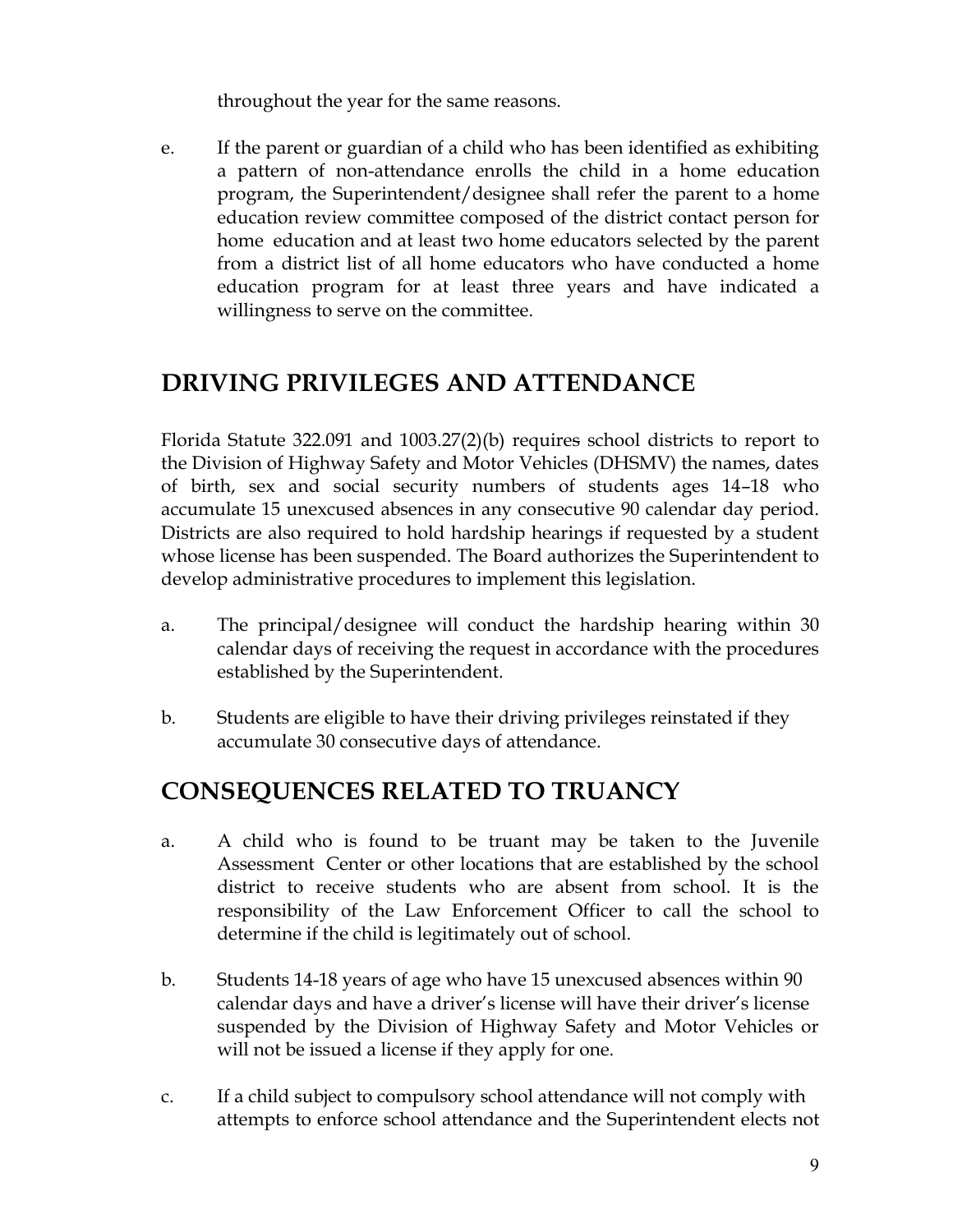throughout the year for the same reasons.

If the parent or guardian of a child who has been identified as exhibiting e. a pattern of non-attendance enrolls the child in a home education program, the Superintendent/designee shall refer the parent to a home education review committee composed of the district contact person for home education and at least two home educators selected by the parent from a district list of all home educators who have conducted a home education program for at least three years and have indicated a willingness to serve on the committee.

## **DRIVING PRIVILEGES AND ATTENDANCE**

Florida Statute  $322.091$  and  $1003.27(2)(b)$  requires school districts to report to the Division of Highway Safety and Motor Vehicles (DHSMV) the names, dates of birth, sex and social security numbers of students ages 14-18 who accumulate 15 unexcused absences in any consecutive 90 calendar day period. Districts are also required to hold hardship hearings if requested by a student whose license has been suspended. The Board authorizes the Superintendent to develop administrative procedures to implement this legislation.

- The principal/designee will conduct the hardship hearing within 30 a. calendar days of receiving the request in accordance with the procedures established by the Superintendent.
- $b.$ Students are eligible to have their driving privileges reinstated if they accumulate 30 consecutive days of attendance.

# **CONSEQUENCES RELATED TO TRUANCY**

- A child who is found to be truant may be taken to the Juvenile a. Assessment Center or other locations that are established by the school district to receive students who are absent from school. It is the responsibility of the Law Enforcement Officer to call the school to determine if the child is legitimately out of school.
- $\mathbf{b}$ . Students 14-18 years of age who have 15 unexcused absences within 90 calendar days and have a driver's license will have their driver's license suspended by the Division of Highway Safety and Motor Vehicles or will not be issued a license if they apply for one.
- If a child subject to compulsory school attendance will not comply with C. attempts to enforce school attendance and the Superintendent elects not